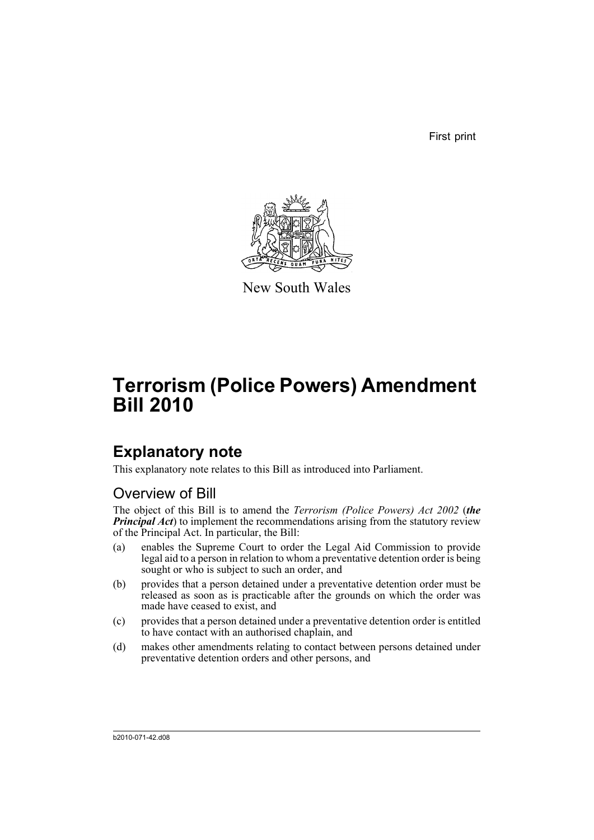First print



New South Wales

# **Terrorism (Police Powers) Amendment Bill 2010**

### **Explanatory note**

This explanatory note relates to this Bill as introduced into Parliament.

### Overview of Bill

The object of this Bill is to amend the *Terrorism (Police Powers) Act 2002* (*the Principal Act*) to implement the recommendations arising from the statutory review of the Principal Act. In particular, the Bill:

- (a) enables the Supreme Court to order the Legal Aid Commission to provide legal aid to a person in relation to whom a preventative detention order is being sought or who is subject to such an order, and
- (b) provides that a person detained under a preventative detention order must be released as soon as is practicable after the grounds on which the order was made have ceased to exist, and
- (c) provides that a person detained under a preventative detention order is entitled to have contact with an authorised chaplain, and
- (d) makes other amendments relating to contact between persons detained under preventative detention orders and other persons, and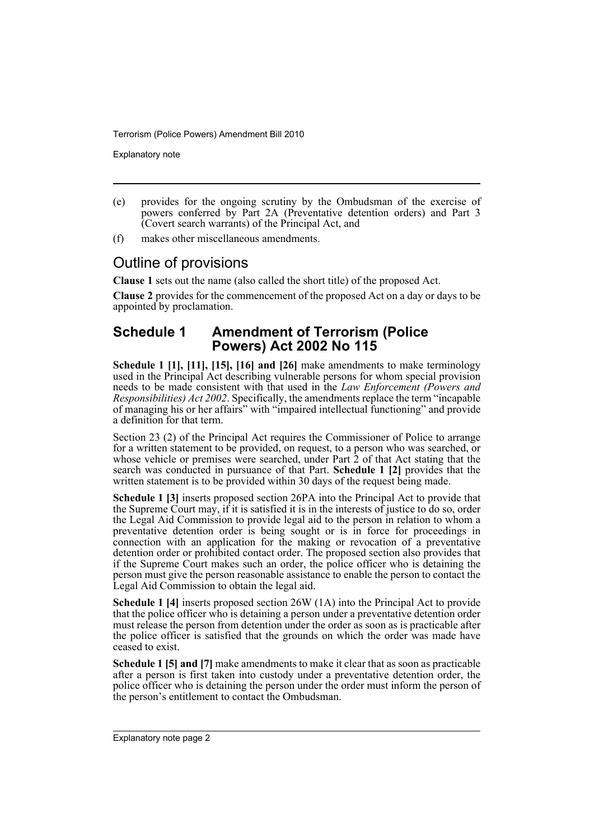Explanatory note

- (e) provides for the ongoing scrutiny by the Ombudsman of the exercise of powers conferred by Part 2A (Preventative detention orders) and Part 3 (Covert search warrants) of the Principal Act, and
- (f) makes other miscellaneous amendments.

#### Outline of provisions

**Clause 1** sets out the name (also called the short title) of the proposed Act.

**Clause 2** provides for the commencement of the proposed Act on a day or days to be appointed by proclamation.

#### **Schedule 1 Amendment of Terrorism (Police Powers) Act 2002 No 115**

**Schedule 1 [1], [11], [15], [16] and [26]** make amendments to make terminology used in the Principal Act describing vulnerable persons for whom special provision needs to be made consistent with that used in the *Law Enforcement (Powers and Responsibilities) Act 2002*. Specifically, the amendments replace the term "incapable of managing his or her affairs" with "impaired intellectual functioning" and provide a definition for that term.

Section 23 (2) of the Principal Act requires the Commissioner of Police to arrange for a written statement to be provided, on request, to a person who was searched, or whose vehicle or premises were searched, under Part 2 of that Act stating that the search was conducted in pursuance of that Part. **Schedule 1 [2]** provides that the written statement is to be provided within 30 days of the request being made.

**Schedule 1 [3]** inserts proposed section 26PA into the Principal Act to provide that the Supreme Court may, if it is satisfied it is in the interests of justice to do so, order the Legal Aid Commission to provide legal aid to the person in relation to whom a preventative detention order is being sought or is in force for proceedings in connection with an application for the making or revocation of a preventative detention order or prohibited contact order. The proposed section also provides that if the Supreme Court makes such an order, the police officer who is detaining the person must give the person reasonable assistance to enable the person to contact the Legal Aid Commission to obtain the legal aid.

**Schedule 1 [4]** inserts proposed section 26W (1A) into the Principal Act to provide that the police officer who is detaining a person under a preventative detention order must release the person from detention under the order as soon as is practicable after the police officer is satisfied that the grounds on which the order was made have ceased to exist.

**Schedule 1 [5] and [7]** make amendments to make it clear that as soon as practicable after a person is first taken into custody under a preventative detention order, the police officer who is detaining the person under the order must inform the person of the person's entitlement to contact the Ombudsman.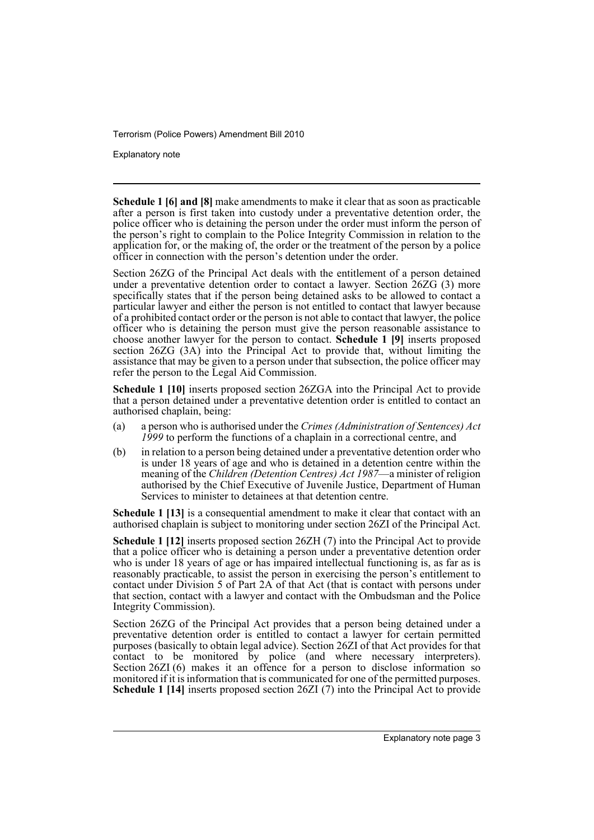Explanatory note

**Schedule 1 [6] and [8]** make amendments to make it clear that as soon as practicable after a person is first taken into custody under a preventative detention order, the police officer who is detaining the person under the order must inform the person of the person's right to complain to the Police Integrity Commission in relation to the application for, or the making of, the order or the treatment of the person by a police officer in connection with the person's detention under the order.

Section 26ZG of the Principal Act deals with the entitlement of a person detained under a preventative detention order to contact a lawyer. Section 26ZG (3) more specifically states that if the person being detained asks to be allowed to contact a particular lawyer and either the person is not entitled to contact that lawyer because of a prohibited contact order or the person is not able to contact that lawyer, the police officer who is detaining the person must give the person reasonable assistance to choose another lawyer for the person to contact. **Schedule 1 [9]** inserts proposed section 26ZG (3A) into the Principal Act to provide that, without limiting the assistance that may be given to a person under that subsection, the police officer may refer the person to the Legal Aid Commission.

**Schedule 1 [10]** inserts proposed section 26ZGA into the Principal Act to provide that a person detained under a preventative detention order is entitled to contact an authorised chaplain, being:

- (a) a person who is authorised under the *Crimes (Administration of Sentences) Act 1999* to perform the functions of a chaplain in a correctional centre, and
- (b) in relation to a person being detained under a preventative detention order who is under 18 years of age and who is detained in a detention centre within the meaning of the *Children (Detention Centres) Act 1987*—a minister of religion authorised by the Chief Executive of Juvenile Justice, Department of Human Services to minister to detainees at that detention centre.

**Schedule 1 [13]** is a consequential amendment to make it clear that contact with an authorised chaplain is subject to monitoring under section 26ZI of the Principal Act.

**Schedule 1 [12]** inserts proposed section 26ZH (7) into the Principal Act to provide that a police officer who is detaining a person under a preventative detention order who is under 18 years of age or has impaired intellectual functioning is, as far as is reasonably practicable, to assist the person in exercising the person's entitlement to contact under Division 5 of Part 2A of that Act (that is contact with persons under that section, contact with a lawyer and contact with the Ombudsman and the Police Integrity Commission).

Section 26ZG of the Principal Act provides that a person being detained under a preventative detention order is entitled to contact a lawyer for certain permitted purposes (basically to obtain legal advice). Section 26ZI of that Act provides for that contact to be monitored by police (and where necessary interpreters). Section 26ZI (6) makes it an offence for a person to disclose information so monitored if it is information that is communicated for one of the permitted purposes. **Schedule 1 [14]** inserts proposed section 26ZI (7) into the Principal Act to provide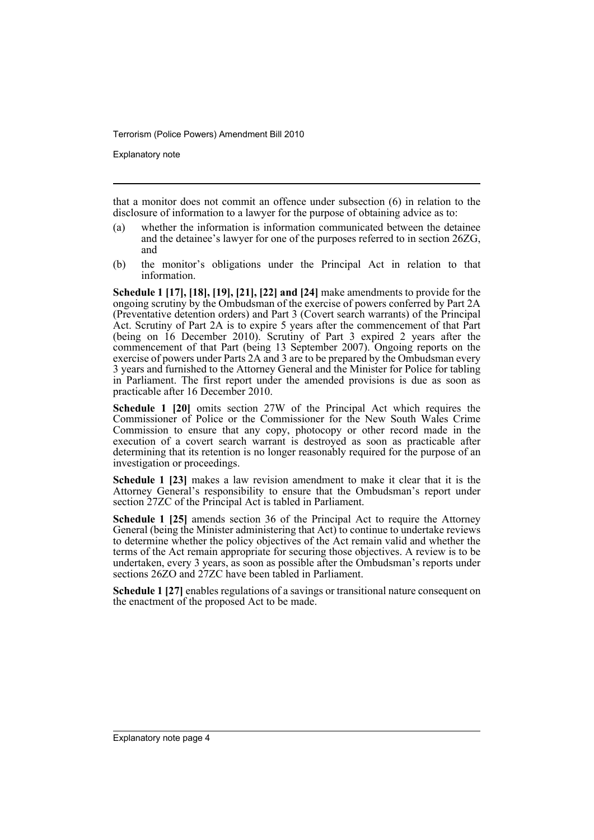Explanatory note

that a monitor does not commit an offence under subsection (6) in relation to the disclosure of information to a lawyer for the purpose of obtaining advice as to:

- (a) whether the information is information communicated between the detainee and the detainee's lawyer for one of the purposes referred to in section 26ZG, and
- (b) the monitor's obligations under the Principal Act in relation to that information.

**Schedule 1 [17], [18], [19], [21], [22] and [24]** make amendments to provide for the ongoing scrutiny by the Ombudsman of the exercise of powers conferred by Part 2A (Preventative detention orders) and Part 3 (Covert search warrants) of the Principal Act. Scrutiny of Part 2A is to expire 5 years after the commencement of that Part (being on 16 December 2010). Scrutiny of Part 3 expired 2 years after the commencement of that Part (being 13 September 2007). Ongoing reports on the exercise of powers under Parts 2A and 3 are to be prepared by the Ombudsman every 3 years and furnished to the Attorney General and the Minister for Police for tabling in Parliament. The first report under the amended provisions is due as soon as practicable after 16 December 2010.

**Schedule 1 [20]** omits section 27W of the Principal Act which requires the Commissioner of Police or the Commissioner for the New South Wales Crime Commission to ensure that any copy, photocopy or other record made in the execution of a covert search warrant is destroyed as soon as practicable after determining that its retention is no longer reasonably required for the purpose of an investigation or proceedings.

**Schedule 1 [23]** makes a law revision amendment to make it clear that it is the Attorney General's responsibility to ensure that the Ombudsman's report under section 27ZC of the Principal Act is tabled in Parliament.

**Schedule 1 [25]** amends section 36 of the Principal Act to require the Attorney General (being the Minister administering that  $Act)$  to continue to undertake reviews to determine whether the policy objectives of the Act remain valid and whether the terms of the Act remain appropriate for securing those objectives. A review is to be undertaken, every 3 years, as soon as possible after the Ombudsman's reports under sections 26ZO and 27ZC have been tabled in Parliament.

**Schedule 1 [27]** enables regulations of a savings or transitional nature consequent on the enactment of the proposed Act to be made.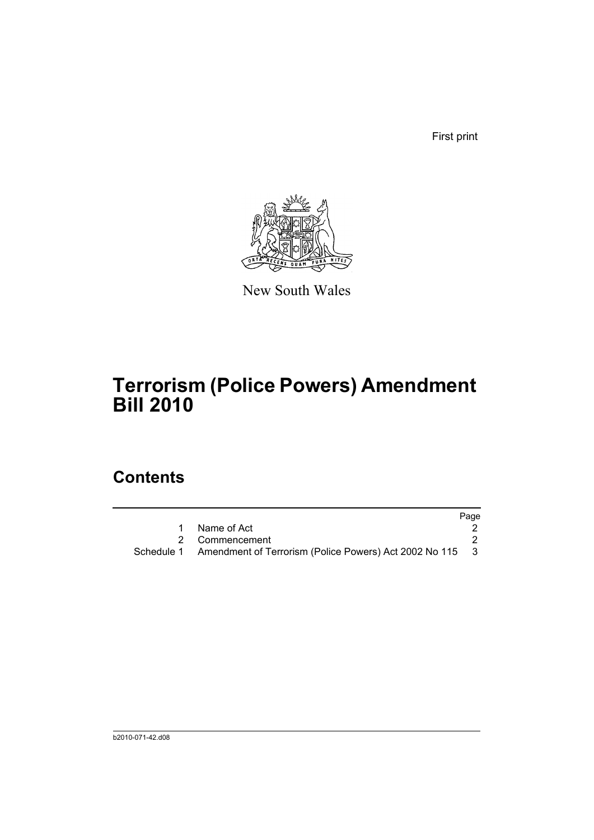First print



New South Wales

## **Terrorism (Police Powers) Amendment Bill 2010**

### **Contents**

|                                                                     | Page |
|---------------------------------------------------------------------|------|
| Name of Act                                                         |      |
| 2 Commencement                                                      |      |
| Schedule 1 Amendment of Terrorism (Police Powers) Act 2002 No 115 3 |      |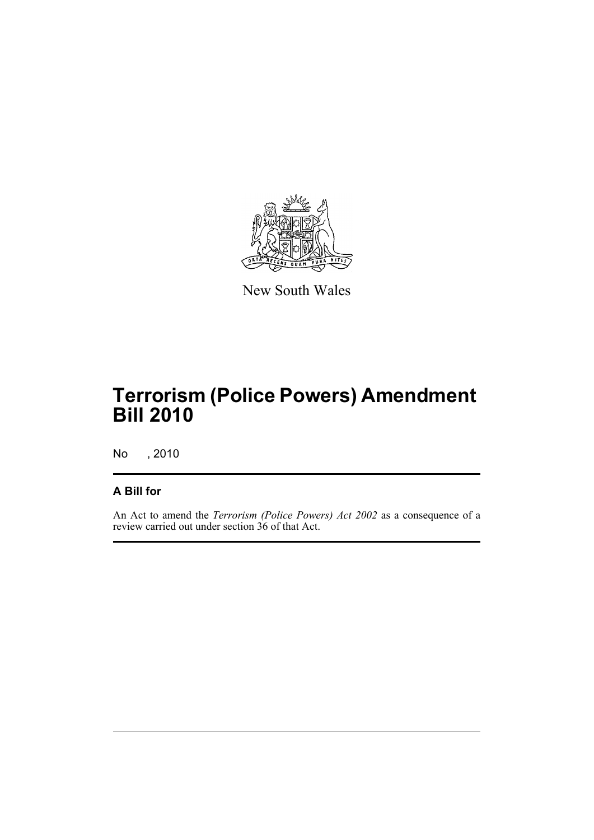

New South Wales

## **Terrorism (Police Powers) Amendment Bill 2010**

No , 2010

#### **A Bill for**

An Act to amend the *Terrorism (Police Powers) Act 2002* as a consequence of a review carried out under section 36 of that Act.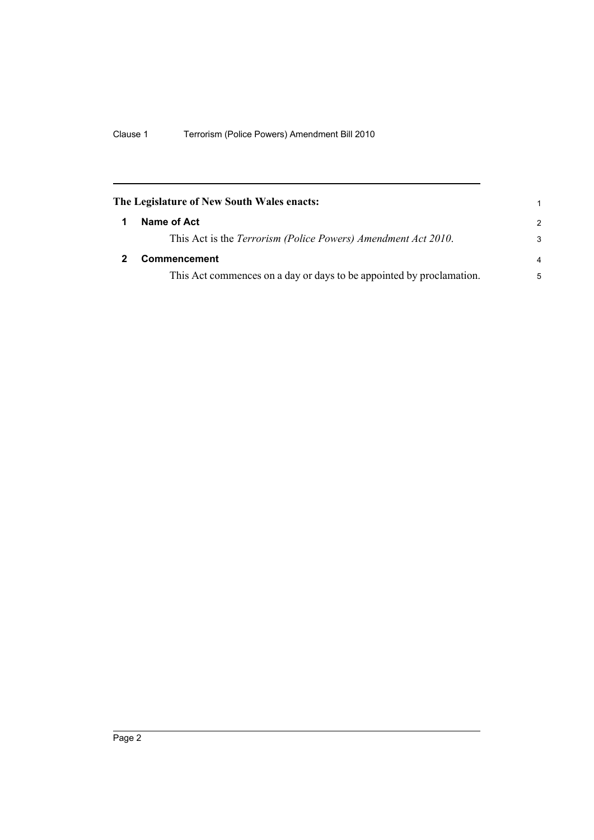<span id="page-7-1"></span><span id="page-7-0"></span>

| The Legislature of New South Wales enacts: |                                                                      |                |
|--------------------------------------------|----------------------------------------------------------------------|----------------|
|                                            | Name of Act                                                          | $\mathcal{P}$  |
|                                            | This Act is the Terrorism (Police Powers) Amendment Act 2010.        | 3              |
|                                            | <b>Commencement</b>                                                  | $\overline{a}$ |
|                                            | This Act commences on a day or days to be appointed by proclamation. | 5              |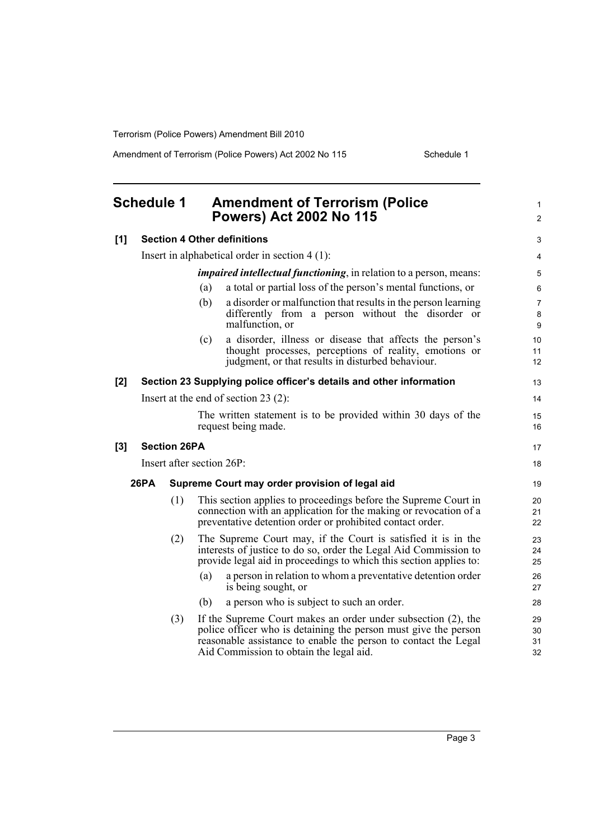Amendment of Terrorism (Police Powers) Act 2002 No 115 Schedule 1

<span id="page-8-0"></span>

|     | <b>Schedule 1</b> |                     | <b>Amendment of Terrorism (Police</b><br><b>Powers) Act 2002 No 115</b>                                                                                                                                                                        | 1<br>$\overline{c}$  |
|-----|-------------------|---------------------|------------------------------------------------------------------------------------------------------------------------------------------------------------------------------------------------------------------------------------------------|----------------------|
| [1] |                   |                     | <b>Section 4 Other definitions</b>                                                                                                                                                                                                             | 3                    |
|     |                   |                     | Insert in alphabetical order in section $4(1)$ :                                                                                                                                                                                               | 4                    |
|     |                   |                     | <i>impaired intellectual functioning</i> , in relation to a person, means:                                                                                                                                                                     | 5                    |
|     |                   |                     | a total or partial loss of the person's mental functions, or<br>(a)                                                                                                                                                                            | 6                    |
|     |                   |                     | a disorder or malfunction that results in the person learning<br>(b)<br>differently from a person without the disorder or<br>malfunction, or                                                                                                   | 7<br>8<br>9          |
|     |                   |                     | a disorder, illness or disease that affects the person's<br>(c)<br>thought processes, perceptions of reality, emotions or<br>judgment, or that results in disturbed behaviour.                                                                 | 10<br>11<br>12       |
| [2] |                   |                     | Section 23 Supplying police officer's details and other information                                                                                                                                                                            | 13                   |
|     |                   |                     | Insert at the end of section $23(2)$ :                                                                                                                                                                                                         | 14                   |
|     |                   |                     | The written statement is to be provided within 30 days of the<br>request being made.                                                                                                                                                           | 15<br>16             |
| [3] |                   | <b>Section 26PA</b> |                                                                                                                                                                                                                                                | 17                   |
|     |                   |                     | Insert after section 26P:                                                                                                                                                                                                                      | 18                   |
|     | <b>26PA</b>       |                     | Supreme Court may order provision of legal aid                                                                                                                                                                                                 | 19                   |
|     |                   | (1)                 | This section applies to proceedings before the Supreme Court in<br>connection with an application for the making or revocation of a<br>preventative detention order or prohibited contact order.                                               | 20<br>21<br>22       |
|     |                   | (2)                 | The Supreme Court may, if the Court is satisfied it is in the<br>interests of justice to do so, order the Legal Aid Commission to<br>provide legal aid in proceedings to which this section applies to:                                        | 23<br>24<br>25       |
|     |                   |                     | (a)<br>a person in relation to whom a preventative detention order<br>is being sought, or                                                                                                                                                      | 26<br>27             |
|     |                   |                     | a person who is subject to such an order.<br>(b)                                                                                                                                                                                               | 28                   |
|     |                   | (3)                 | If the Supreme Court makes an order under subsection (2), the<br>police officer who is detaining the person must give the person<br>reasonable assistance to enable the person to contact the Legal<br>Aid Commission to obtain the legal aid. | 29<br>30<br>31<br>32 |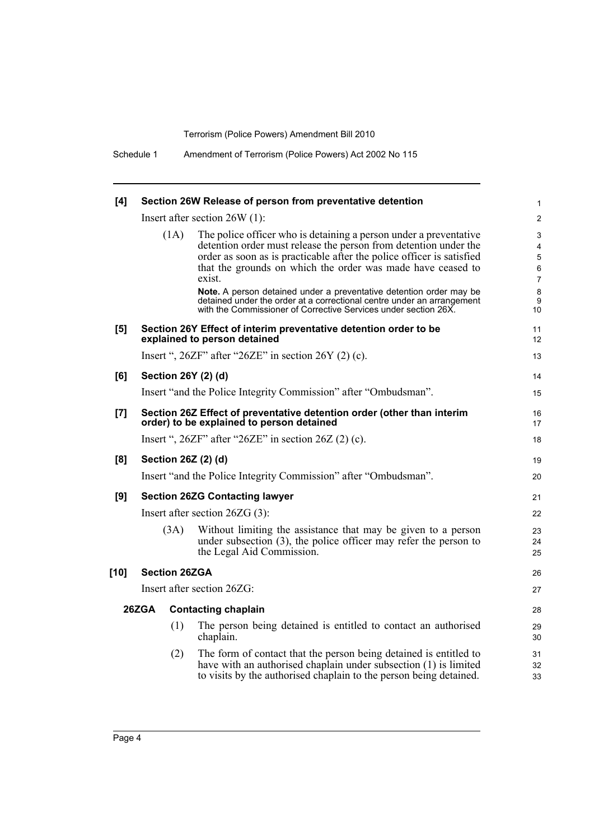| [4]    |                                     |                      | Section 26W Release of person from preventative detention                                                                                                                                                                                                                                                                                                                                                                                | 1                                                  |
|--------|-------------------------------------|----------------------|------------------------------------------------------------------------------------------------------------------------------------------------------------------------------------------------------------------------------------------------------------------------------------------------------------------------------------------------------------------------------------------------------------------------------------------|----------------------------------------------------|
|        |                                     |                      | Insert after section $26W(1)$ :                                                                                                                                                                                                                                                                                                                                                                                                          | $\overline{2}$                                     |
|        |                                     | (1A)                 | The police officer who is detaining a person under a preventative<br>detention order must release the person from detention under the<br>order as soon as is practicable after the police officer is satisfied<br>that the grounds on which the order was made have ceased to<br>exist.<br>Note. A person detained under a preventative detention order may be<br>detained under the order at a correctional centre under an arrangement | 3<br>4<br>5<br>$\,6\,$<br>$\overline{7}$<br>8<br>9 |
| [5]    |                                     |                      | with the Commissioner of Corrective Services under section 26X.<br>Section 26Y Effect of interim preventative detention order to be<br>explained to person detained                                                                                                                                                                                                                                                                      | 10<br>11<br>12                                     |
|        |                                     |                      | Insert ", $26ZF$ " after " $26ZE$ " in section $26Y(2)(c)$ .                                                                                                                                                                                                                                                                                                                                                                             | 13                                                 |
| [6]    |                                     |                      | Section 26Y (2) (d)                                                                                                                                                                                                                                                                                                                                                                                                                      | 14                                                 |
|        |                                     |                      | Insert "and the Police Integrity Commission" after "Ombudsman".                                                                                                                                                                                                                                                                                                                                                                          | 15                                                 |
| [7]    |                                     |                      | Section 26Z Effect of preventative detention order (other than interim<br>order) to be explained to person detained                                                                                                                                                                                                                                                                                                                      | 16<br>17                                           |
|        |                                     |                      | Insert ", $26ZF$ " after " $26ZE$ " in section $26Z(2)(c)$ .                                                                                                                                                                                                                                                                                                                                                                             | 18                                                 |
| [8]    |                                     |                      | Section 26Z (2) (d)                                                                                                                                                                                                                                                                                                                                                                                                                      | 19                                                 |
|        |                                     |                      | Insert "and the Police Integrity Commission" after "Ombudsman".                                                                                                                                                                                                                                                                                                                                                                          | 20                                                 |
| [9]    |                                     |                      | <b>Section 26ZG Contacting lawyer</b>                                                                                                                                                                                                                                                                                                                                                                                                    | 21                                                 |
|        |                                     |                      | Insert after section $26ZG(3)$ :                                                                                                                                                                                                                                                                                                                                                                                                         | 22                                                 |
|        |                                     | (3A)                 | Without limiting the assistance that may be given to a person<br>under subsection $(3)$ , the police officer may refer the person to<br>the Legal Aid Commission.                                                                                                                                                                                                                                                                        | 23<br>24<br>25                                     |
| $[10]$ |                                     | <b>Section 26ZGA</b> |                                                                                                                                                                                                                                                                                                                                                                                                                                          | 26                                                 |
|        |                                     |                      | Insert after section 26ZG:                                                                                                                                                                                                                                                                                                                                                                                                               | 27                                                 |
|        | 26ZGA<br><b>Contacting chaplain</b> |                      |                                                                                                                                                                                                                                                                                                                                                                                                                                          | 28                                                 |
|        |                                     | (1)                  | The person being detained is entitled to contact an authorised<br>chaplain.                                                                                                                                                                                                                                                                                                                                                              | 29<br>30                                           |
|        |                                     | (2)                  | The form of contact that the person being detained is entitled to<br>have with an authorised chaplain under subsection (1) is limited<br>to visits by the authorised chaplain to the person being detained.                                                                                                                                                                                                                              | 31<br>32<br>33                                     |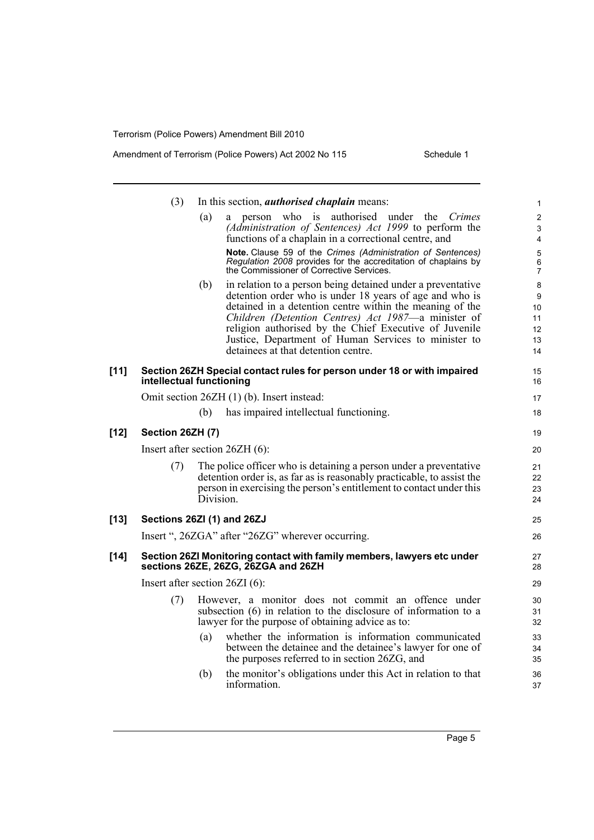|        | (3)              | In this section, <i>authorised chaplain</i> means:                                                                                                                                                                                                                                                                                                                                                        | $\mathbf{1}$                         |
|--------|------------------|-----------------------------------------------------------------------------------------------------------------------------------------------------------------------------------------------------------------------------------------------------------------------------------------------------------------------------------------------------------------------------------------------------------|--------------------------------------|
|        |                  | who is authorised under the<br>(a)<br>Crimes<br>person<br>a<br>(Administration of Sentences) Act 1999 to perform the<br>functions of a chaplain in a correctional centre, and                                                                                                                                                                                                                             | $\overline{c}$<br>3<br>4             |
|        |                  | Note. Clause 59 of the Crimes (Administration of Sentences)<br>Regulation 2008 provides for the accreditation of chaplains by<br>the Commissioner of Corrective Services.                                                                                                                                                                                                                                 | 5<br>6<br>$\overline{7}$             |
|        |                  | in relation to a person being detained under a preventative<br>(b)<br>detention order who is under 18 years of age and who is<br>detained in a detention centre within the meaning of the<br>Children (Detention Centres) Act 1987-a minister of<br>religion authorised by the Chief Executive of Juvenile<br>Justice, Department of Human Services to minister to<br>detainees at that detention centre. | 8<br>9<br>10<br>11<br>12<br>13<br>14 |
| $[11]$ |                  | Section 26ZH Special contact rules for person under 18 or with impaired<br>intellectual functioning                                                                                                                                                                                                                                                                                                       | 15<br>16                             |
|        |                  | Omit section 26ZH (1) (b). Insert instead:                                                                                                                                                                                                                                                                                                                                                                | 17                                   |
|        |                  | has impaired intellectual functioning.<br>(b)                                                                                                                                                                                                                                                                                                                                                             | 18                                   |
| [12]   | Section 26ZH (7) |                                                                                                                                                                                                                                                                                                                                                                                                           | 19                                   |
|        |                  | Insert after section 26ZH (6):                                                                                                                                                                                                                                                                                                                                                                            | 20                                   |
|        | (7)              | The police officer who is detaining a person under a preventative<br>detention order is, as far as is reasonably practicable, to assist the<br>person in exercising the person's entitlement to contact under this<br>Division.                                                                                                                                                                           | 21<br>22<br>23<br>24                 |
| [13]   |                  | Sections 26ZI (1) and 26ZJ                                                                                                                                                                                                                                                                                                                                                                                | 25                                   |
|        |                  | Insert ", 26ZGA" after "26ZG" wherever occurring.                                                                                                                                                                                                                                                                                                                                                         | 26                                   |
| $[14]$ |                  | Section 26ZI Monitoring contact with family members, lawyers etc under<br>sections 26ZE, 26ZG, 26ZGA and 26ZH                                                                                                                                                                                                                                                                                             | 27<br>28                             |
|        |                  | Insert after section 26ZI (6):                                                                                                                                                                                                                                                                                                                                                                            | 29                                   |
|        | (7)              | However, a monitor does not commit an offence under<br>subsection (6) in relation to the disclosure of information to a<br>lawyer for the purpose of obtaining advice as to:                                                                                                                                                                                                                              | 30<br>31<br>32                       |
|        |                  | whether the information is information communicated<br>(a)<br>between the detainee and the detainee's lawyer for one of<br>the purposes referred to in section 26ZG, and                                                                                                                                                                                                                                  | 33<br>34<br>35                       |
|        |                  | the monitor's obligations under this Act in relation to that<br>(b)<br>information.                                                                                                                                                                                                                                                                                                                       | 36<br>37                             |
|        |                  |                                                                                                                                                                                                                                                                                                                                                                                                           |                                      |

Page 5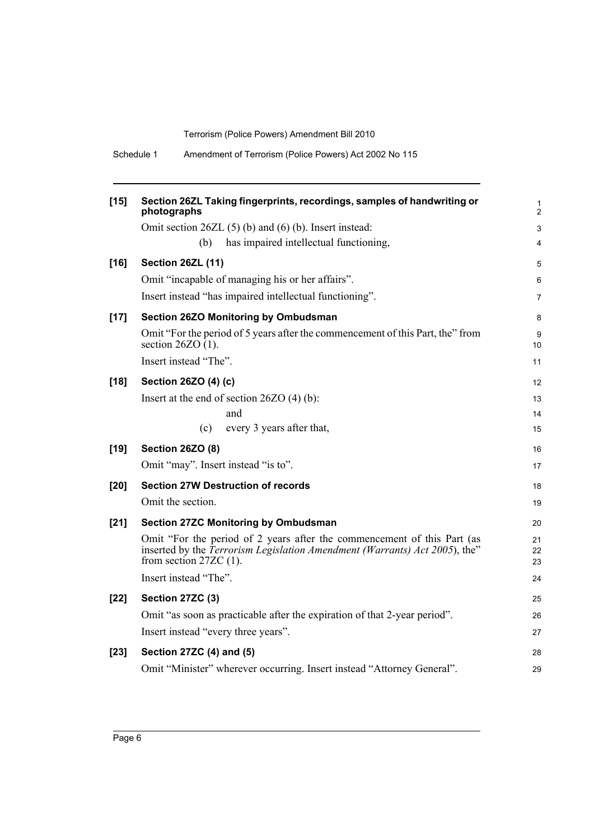| Schedule 1 |  |  |  | Amendment of Terrorism (Police Powers) Act 2002 No 115 |
|------------|--|--|--|--------------------------------------------------------|
|------------|--|--|--|--------------------------------------------------------|

| $[15]$ | Section 26ZL Taking fingerprints, recordings, samples of handwriting or<br>photographs                                                                                            | 1<br>$\overline{c}$ |
|--------|-----------------------------------------------------------------------------------------------------------------------------------------------------------------------------------|---------------------|
|        | Omit section $26ZL(5)$ (b) and (6) (b). Insert instead:                                                                                                                           | 3                   |
|        | has impaired intellectual functioning,<br>(b)                                                                                                                                     | 4                   |
| $[16]$ | <b>Section 26ZL (11)</b>                                                                                                                                                          | 5                   |
|        | Omit "incapable of managing his or her affairs".                                                                                                                                  | 6                   |
|        | Insert instead "has impaired intellectual functioning".                                                                                                                           | 7                   |
| $[17]$ | Section 26ZO Monitoring by Ombudsman                                                                                                                                              | 8                   |
|        | Omit "For the period of 5 years after the commencement of this Part, the" from<br>section 26ZO $(1)$ .                                                                            | 9<br>10             |
|        | Insert instead "The".                                                                                                                                                             | 11                  |
| $[18]$ | Section 26ZO (4) (c)                                                                                                                                                              | 12                  |
|        | Insert at the end of section $26ZO(4)$ (b):                                                                                                                                       | 13                  |
|        | and                                                                                                                                                                               | 14                  |
|        | every 3 years after that,<br>(c)                                                                                                                                                  | 15                  |
| $[19]$ | <b>Section 26ZO (8)</b>                                                                                                                                                           | 16                  |
|        | Omit "may". Insert instead "is to".                                                                                                                                               | 17                  |
| $[20]$ | <b>Section 27W Destruction of records</b>                                                                                                                                         | 18                  |
|        | Omit the section.                                                                                                                                                                 | 19                  |
| $[21]$ | <b>Section 27ZC Monitoring by Ombudsman</b>                                                                                                                                       | 20                  |
|        | Omit "For the period of 2 years after the commencement of this Part (as<br>inserted by the Terrorism Legislation Amendment (Warrants) Act 2005), the"<br>from section $27ZC(1)$ . | 21<br>22<br>23      |
|        | Insert instead "The".                                                                                                                                                             | 24                  |
| $[22]$ | Section 27ZC (3)                                                                                                                                                                  | 25                  |
|        | Omit "as soon as practicable after the expiration of that 2-year period".                                                                                                         | 26                  |
|        | Insert instead "every three years".                                                                                                                                               | 27                  |
| $[23]$ | Section 27ZC (4) and (5)                                                                                                                                                          | 28                  |
|        | Omit "Minister" wherever occurring. Insert instead "Attorney General".                                                                                                            | 29                  |